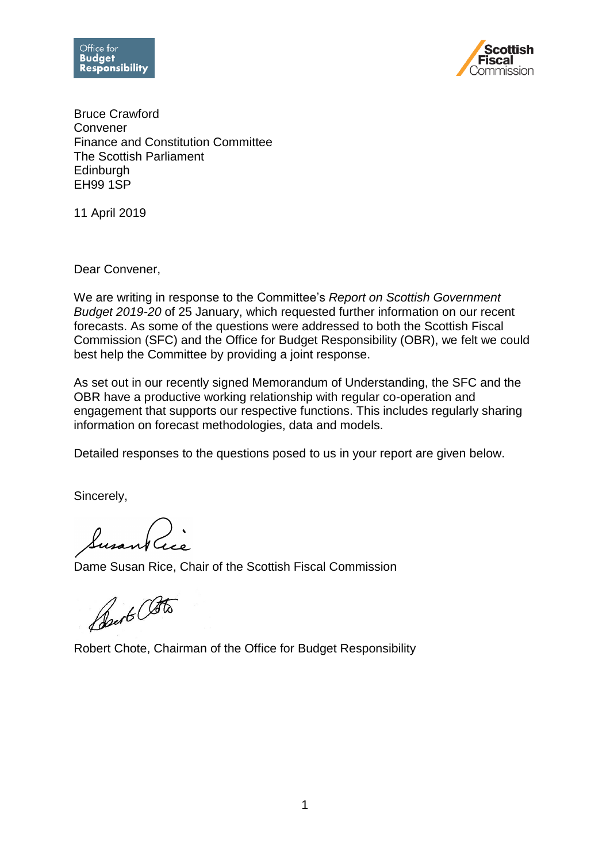



Bruce Crawford Convener Finance and Constitution Committee The Scottish Parliament **Edinburgh** EH99 1SP

11 April 2019

Dear Convener,

We are writing in response to the Committee's *Report on Scottish Government Budget 2019-20* of 25 January, which requested further information on our recent forecasts. As some of the questions were addressed to both the Scottish Fiscal Commission (SFC) and the Office for Budget Responsibility (OBR), we felt we could best help the Committee by providing a joint response.

As set out in our recently signed Memorandum of Understanding, the SFC and the OBR have a productive working relationship with regular co-operation and engagement that supports our respective functions. This includes regularly sharing information on forecast methodologies, data and models.

Detailed responses to the questions posed to us in your report are given below.

Sincerely,

Susant Cice

Dame Susan Rice, Chair of the Scottish Fiscal Commission

Best Otto

Robert Chote, Chairman of the Office for Budget Responsibility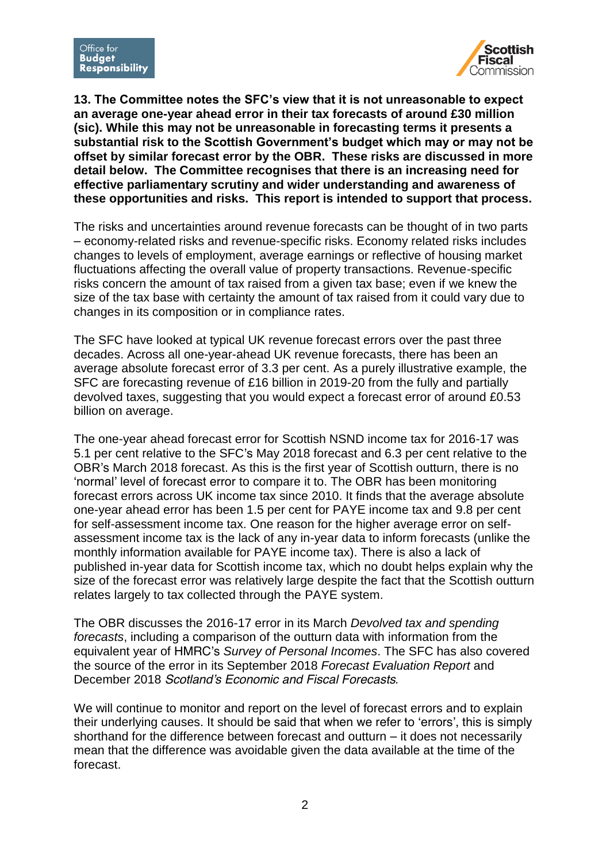

**13. The Committee notes the SFC's view that it is not unreasonable to expect an average one-year ahead error in their tax forecasts of around £30 million (sic). While this may not be unreasonable in forecasting terms it presents a substantial risk to the Scottish Government's budget which may or may not be offset by similar forecast error by the OBR. These risks are discussed in more detail below. The Committee recognises that there is an increasing need for effective parliamentary scrutiny and wider understanding and awareness of these opportunities and risks. This report is intended to support that process.**

The risks and uncertainties around revenue forecasts can be thought of in two parts – economy-related risks and revenue-specific risks. Economy related risks includes changes to levels of employment, average earnings or reflective of housing market fluctuations affecting the overall value of property transactions. Revenue-specific risks concern the amount of tax raised from a given tax base; even if we knew the size of the tax base with certainty the amount of tax raised from it could vary due to changes in its composition or in compliance rates.

The SFC have looked at typical UK revenue forecast errors over the past three decades. Across all one-year-ahead UK revenue forecasts, there has been an average absolute forecast error of 3.3 per cent. As a purely illustrative example, the SFC are forecasting revenue of £16 billion in 2019-20 from the fully and partially devolved taxes, suggesting that you would expect a forecast error of around £0.53 billion on average.

The one-year ahead forecast error for Scottish NSND income tax for 2016-17 was 5.1 per cent relative to the SFC's May 2018 forecast and 6.3 per cent relative to the OBR's March 2018 forecast. As this is the first year of Scottish outturn, there is no 'normal' level of forecast error to compare it to. The OBR has been monitoring forecast errors across UK income tax since 2010. It finds that the average absolute one-year ahead error has been 1.5 per cent for PAYE income tax and 9.8 per cent for self-assessment income tax. One reason for the higher average error on selfassessment income tax is the lack of any in-year data to inform forecasts (unlike the monthly information available for PAYE income tax). There is also a lack of published in-year data for Scottish income tax, which no doubt helps explain why the size of the forecast error was relatively large despite the fact that the Scottish outturn relates largely to tax collected through the PAYE system.

The OBR discusses the 2016-17 error in its March *Devolved tax and spending forecasts*, including a comparison of the outturn data with information from the equivalent year of HMRC's *Survey of Personal Incomes*. The SFC has also covered the source of the error in its September 2018 *Forecast Evaluation Report* and December 2018 *Scotland's Economic and Fiscal Forecasts.*

We will continue to monitor and report on the level of forecast errors and to explain their underlying causes. It should be said that when we refer to 'errors', this is simply shorthand for the difference between forecast and outturn – it does not necessarily mean that the difference was avoidable given the data available at the time of the forecast.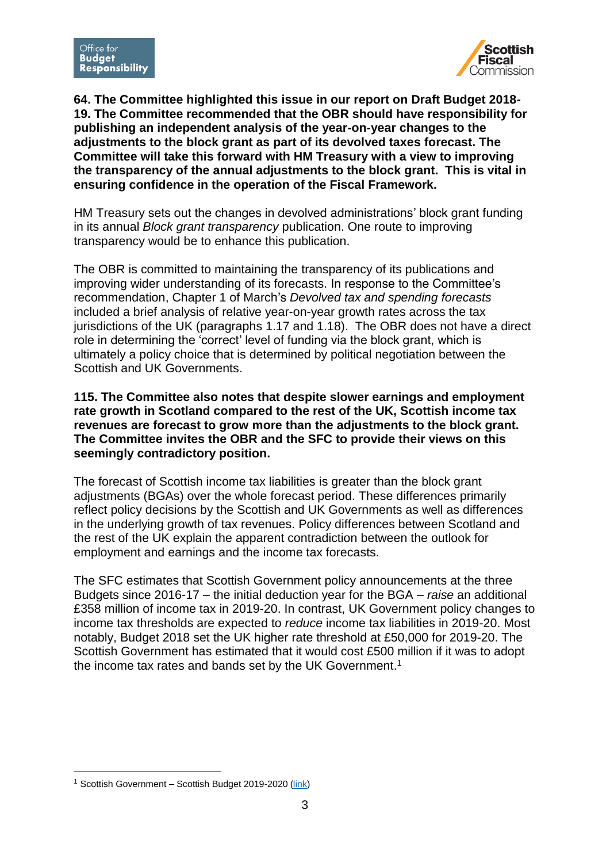

**64. The Committee highlighted this issue in our report on Draft Budget 2018- 19. The Committee recommended that the OBR should have responsibility for publishing an independent analysis of the year-on-year changes to the adjustments to the block grant as part of its devolved taxes forecast. The Committee will take this forward with HM Treasury with a view to improving the transparency of the annual adjustments to the block grant. This is vital in ensuring confidence in the operation of the Fiscal Framework.**

HM Treasury sets out the changes in devolved administrations' block grant funding in its annual *Block grant transparency* publication. One route to improving transparency would be to enhance this publication.

The OBR is committed to maintaining the transparency of its publications and improving wider understanding of its forecasts. In response to the Committee's recommendation, Chapter 1 of March's *Devolved tax and spending forecasts* included a brief analysis of relative year-on-year growth rates across the tax jurisdictions of the UK (paragraphs 1.17 and 1.18). The OBR does not have a direct role in determining the 'correct' level of funding via the block grant, which is ultimately a policy choice that is determined by political negotiation between the Scottish and UK Governments.

**115. The Committee also notes that despite slower earnings and employment rate growth in Scotland compared to the rest of the UK, Scottish income tax revenues are forecast to grow more than the adjustments to the block grant. The Committee invites the OBR and the SFC to provide their views on this seemingly contradictory position.**

The forecast of Scottish income tax liabilities is greater than the block grant adjustments (BGAs) over the whole forecast period. These differences primarily reflect policy decisions by the Scottish and UK Governments as well as differences in the underlying growth of tax revenues. Policy differences between Scotland and the rest of the UK explain the apparent contradiction between the outlook for employment and earnings and the income tax forecasts.

The SFC estimates that Scottish Government policy announcements at the three Budgets since 2016-17 – the initial deduction year for the BGA – *raise* an additional £358 million of income tax in 2019-20. In contrast, UK Government policy changes to income tax thresholds are expected to *reduce* income tax liabilities in 2019-20. Most notably, Budget 2018 set the UK higher rate threshold at £50,000 for 2019-20. The Scottish Government has estimated that it would cost £500 million if it was to adopt the income tax rates and bands set by the UK Government. 1

1

<sup>1</sup> Scottish Government – Scottish Budget 2019-2020 [\(link\)](https://www.gov.scot/publications/scottish-budget-2019-20/)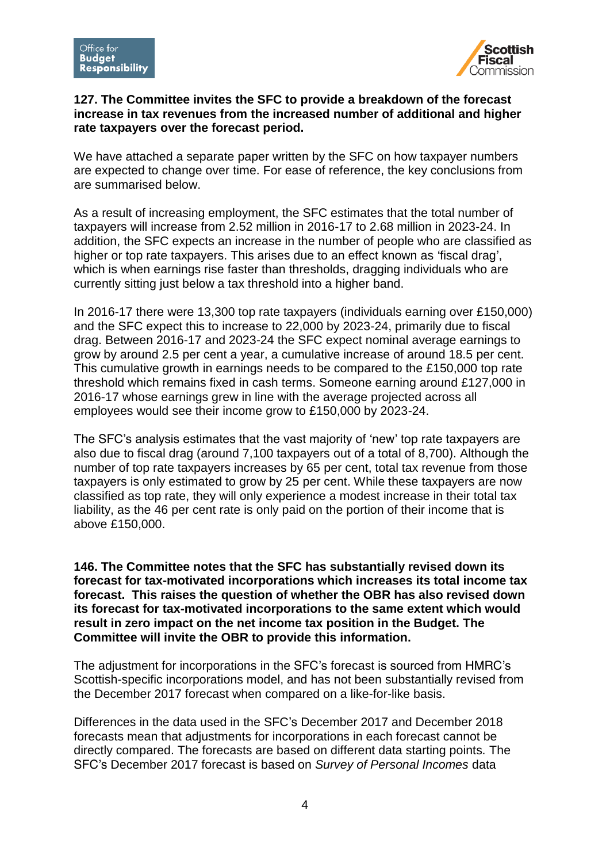

## **127. The Committee invites the SFC to provide a breakdown of the forecast increase in tax revenues from the increased number of additional and higher rate taxpayers over the forecast period.**

We have attached a separate paper written by the SFC on how taxpayer numbers are expected to change over time. For ease of reference, the key conclusions from are summarised below.

As a result of increasing employment, the SFC estimates that the total number of taxpayers will increase from 2.52 million in 2016-17 to 2.68 million in 2023-24. In addition, the SFC expects an increase in the number of people who are classified as higher or top rate taxpayers. This arises due to an effect known as 'fiscal drag', which is when earnings rise faster than thresholds, dragging individuals who are currently sitting just below a tax threshold into a higher band.

In 2016-17 there were 13,300 top rate taxpayers (individuals earning over £150,000) and the SFC expect this to increase to 22,000 by 2023-24, primarily due to fiscal drag. Between 2016-17 and 2023-24 the SFC expect nominal average earnings to grow by around 2.5 per cent a year, a cumulative increase of around 18.5 per cent. This cumulative growth in earnings needs to be compared to the £150,000 top rate threshold which remains fixed in cash terms. Someone earning around £127,000 in 2016-17 whose earnings grew in line with the average projected across all employees would see their income grow to £150,000 by 2023-24.

The SFC's analysis estimates that the vast majority of 'new' top rate taxpayers are also due to fiscal drag (around 7,100 taxpayers out of a total of 8,700). Although the number of top rate taxpayers increases by 65 per cent, total tax revenue from those taxpayers is only estimated to grow by 25 per cent. While these taxpayers are now classified as top rate, they will only experience a modest increase in their total tax liability, as the 46 per cent rate is only paid on the portion of their income that is above £150,000.

**146. The Committee notes that the SFC has substantially revised down its forecast for tax-motivated incorporations which increases its total income tax forecast. This raises the question of whether the OBR has also revised down its forecast for tax-motivated incorporations to the same extent which would result in zero impact on the net income tax position in the Budget. The Committee will invite the OBR to provide this information.**

The adjustment for incorporations in the SFC's forecast is sourced from HMRC's Scottish-specific incorporations model, and has not been substantially revised from the December 2017 forecast when compared on a like-for-like basis.

Differences in the data used in the SFC's December 2017 and December 2018 forecasts mean that adjustments for incorporations in each forecast cannot be directly compared. The forecasts are based on different data starting points. The SFC's December 2017 forecast is based on *Survey of Personal Incomes* data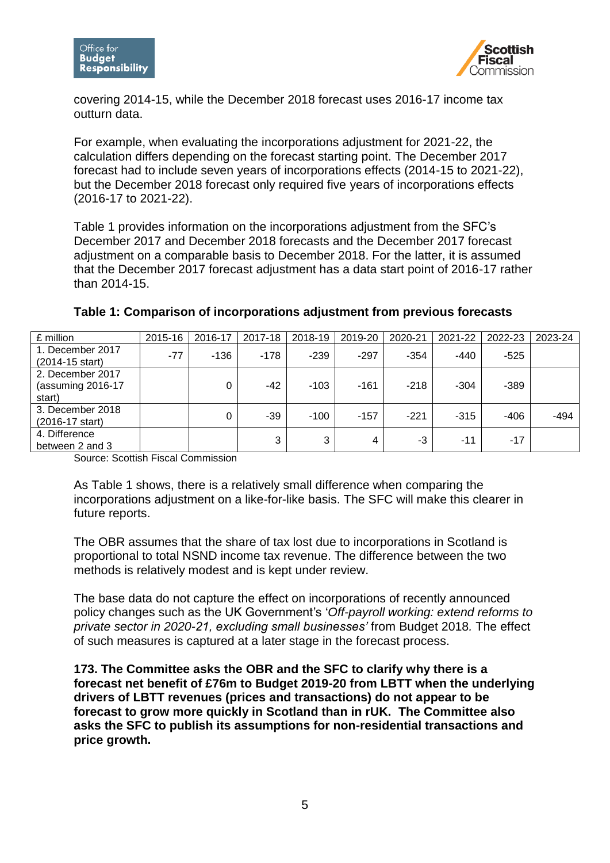

covering 2014-15, while the December 2018 forecast uses 2016-17 income tax outturn data.

For example, when evaluating the incorporations adjustment for 2021-22, the calculation differs depending on the forecast starting point. The December 2017 forecast had to include seven years of incorporations effects (2014-15 to 2021-22), but the December 2018 forecast only required five years of incorporations effects (2016-17 to 2021-22).

Table 1 provides information on the incorporations adjustment from the SFC's December 2017 and December 2018 forecasts and the December 2017 forecast adjustment on a comparable basis to December 2018. For the latter, it is assumed that the December 2017 forecast adjustment has a data start point of 2016-17 rather than 2014-15.

| £ million                                       | 2015-16 | 2016-17 | 2017-18 | 2018-19 | 2019-20 | 2020-21 | 2021-22 | 2022-23 | 2023-24 |
|-------------------------------------------------|---------|---------|---------|---------|---------|---------|---------|---------|---------|
| 1. December 2017<br>(2014-15 start)             | $-77$   | $-136$  | $-178$  | $-239$  | $-297$  | $-354$  | $-440$  | $-525$  |         |
| 2. December 2017<br>(assuming 2016-17<br>start) |         | 0       | $-42$   | $-103$  | $-161$  | $-218$  | $-304$  | $-389$  |         |
| 3. December 2018<br>(2016-17 start)             |         | 0       | $-39$   | $-100$  | $-157$  | $-221$  | $-315$  | $-406$  | -494    |
| 4. Difference<br>between 2 and 3                |         |         | 3       | 3       | 4       | -3      | $-11$   | $-17$   |         |

## **Table 1: Comparison of incorporations adjustment from previous forecasts**

Source: Scottish Fiscal Commission

As Table 1 shows, there is a relatively small difference when comparing the incorporations adjustment on a like-for-like basis. The SFC will make this clearer in future reports.

The OBR assumes that the share of tax lost due to incorporations in Scotland is proportional to total NSND income tax revenue. The difference between the two methods is relatively modest and is kept under review.

The base data do not capture the effect on incorporations of recently announced policy changes such as the UK Government's '*Off-payroll working: extend reforms to private sector in 2020-21, excluding small businesses'* from Budget 2018*.* The effect of such measures is captured at a later stage in the forecast process.

**173. The Committee asks the OBR and the SFC to clarify why there is a forecast net benefit of £76m to Budget 2019-20 from LBTT when the underlying drivers of LBTT revenues (prices and transactions) do not appear to be forecast to grow more quickly in Scotland than in rUK. The Committee also asks the SFC to publish its assumptions for non-residential transactions and price growth.**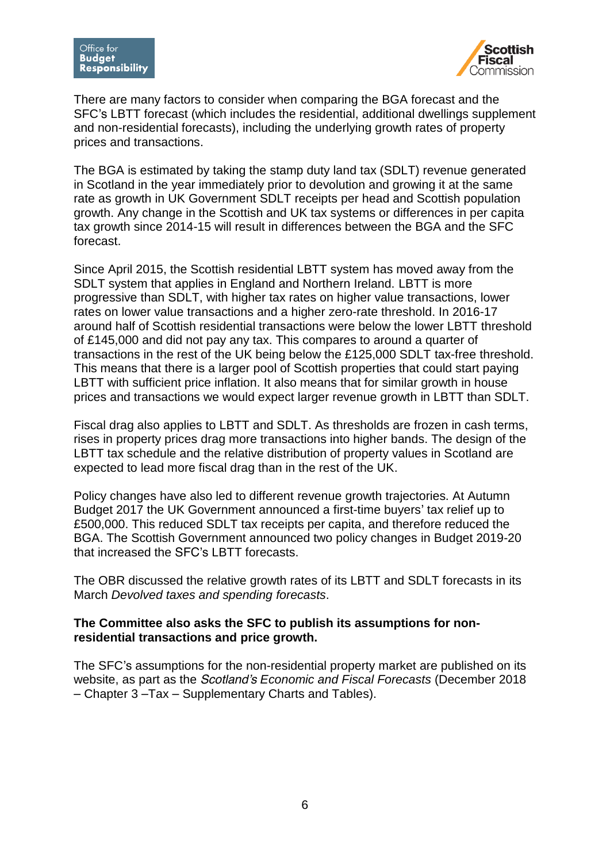

There are many factors to consider when comparing the BGA forecast and the SFC's LBTT forecast (which includes the residential, additional dwellings supplement and non-residential forecasts), including the underlying growth rates of property prices and transactions.

The BGA is estimated by taking the stamp duty land tax (SDLT) revenue generated in Scotland in the year immediately prior to devolution and growing it at the same rate as growth in UK Government SDLT receipts per head and Scottish population growth. Any change in the Scottish and UK tax systems or differences in per capita tax growth since 2014-15 will result in differences between the BGA and the SFC forecast.

Since April 2015, the Scottish residential LBTT system has moved away from the SDLT system that applies in England and Northern Ireland. LBTT is more progressive than SDLT, with higher tax rates on higher value transactions, lower rates on lower value transactions and a higher zero-rate threshold. In 2016-17 around half of Scottish residential transactions were below the lower LBTT threshold of £145,000 and did not pay any tax. This compares to around a quarter of transactions in the rest of the UK being below the £125,000 SDLT tax-free threshold. This means that there is a larger pool of Scottish properties that could start paying LBTT with sufficient price inflation. It also means that for similar growth in house prices and transactions we would expect larger revenue growth in LBTT than SDLT.

Fiscal drag also applies to LBTT and SDLT. As thresholds are frozen in cash terms, rises in property prices drag more transactions into higher bands. The design of the LBTT tax schedule and the relative distribution of property values in Scotland are expected to lead more fiscal drag than in the rest of the UK.

Policy changes have also led to different revenue growth trajectories. At Autumn Budget 2017 the UK Government announced a first-time buyers' tax relief up to £500,000. This reduced SDLT tax receipts per capita, and therefore reduced the BGA. The Scottish Government announced two policy changes in Budget 2019-20 that increased the SFC's LBTT forecasts.

The OBR discussed the relative growth rates of its LBTT and SDLT forecasts in its March *Devolved taxes and spending forecasts*.

## **The Committee also asks the SFC to publish its assumptions for nonresidential transactions and price growth.**

The SFC's assumptions for the non-residential property market are published on its website, as part as the *Scotland's Economic and Fiscal Forecasts* (December 2018 – Chapter 3 –Tax – Supplementary Charts and Tables).